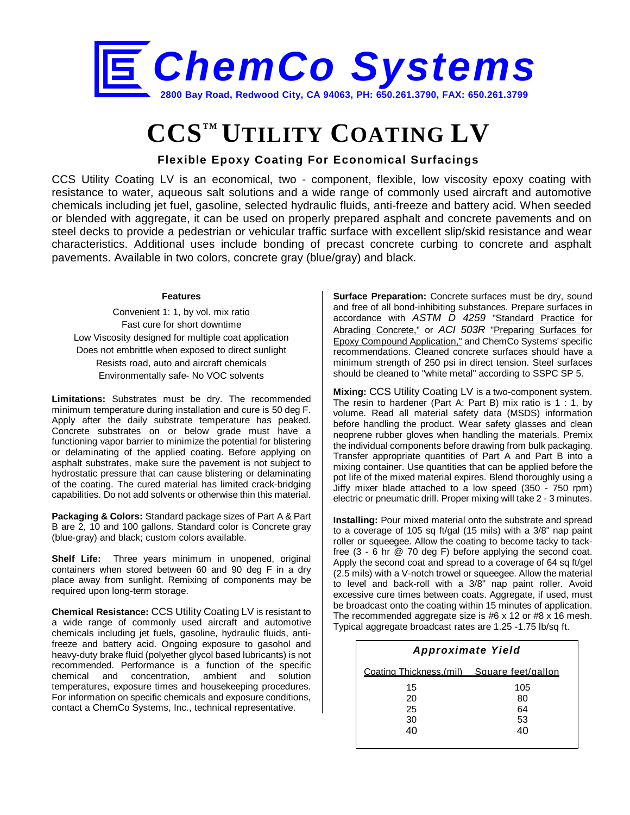

## **CCSTM UTILITY COATING LV**

**Flexible Epoxy Coating For Economical Surfacings**

CCS Utility Coating LV is an economical, two - component, flexible, low viscosity epoxy coating with resistance to water, aqueous salt solutions and a wide range of commonly used aircraft and automotive chemicals including jet fuel, gasoline, selected hydraulic fluids, anti-freeze and battery acid. When seeded or blended with aggregate, it can be used on properly prepared asphalt and concrete pavements and on steel decks to provide a pedestrian or vehicular traffic surface with excellent slip/skid resistance and wear characteristics. Additional uses include bonding of precast concrete curbing to concrete and asphalt pavements. Available in two colors, concrete gray (blue/gray) and black.

## **Features**

Convenient 1: 1, by vol. mix ratio Fast cure for short downtime Low Viscosity designed for multiple coat application Does not embrittle when exposed to direct sunlight Resists road, auto and aircraft chemicals Environmentally safe- No VOC solvents

**Limitations:** Substrates must be dry. The recommended minimum temperature during installation and cure is 50 deg F. Apply after the daily substrate temperature has peaked. Concrete substrates on or below grade must have a functioning vapor barrier to minimize the potential for blistering or delaminating of the applied coating. Before applying on asphalt substrates, make sure the pavement is not subject to hydrostatic pressure that can cause blistering or delaminating of the coating. The cured material has limited crack-bridging capabilities. Do not add solvents or otherwise thin this material.

**Packaging & Colors:** Standard package sizes of Part A & Part B are 2, 10 and 100 gallons. Standard color is Concrete gray (blue-gray) and black; custom colors available.

**Shelf Life:** Three years minimum in unopened, original containers when stored between 60 and 90 deg F in a dry place away from sunlight. Remixing of components may be required upon long-term storage.

**Chemical Resistance:** CCS Utility Coating LV is resistant to a wide range of commonly used aircraft and automotive chemicals including jet fuels, gasoline, hydraulic fluids, antifreeze and battery acid. Ongoing exposure to gasohol and heavy-duty brake fluid (polyether glycol based lubricants) is not recommended. Performance is a function of the specific chemical and concentration, ambient and solution temperatures, exposure times and housekeeping procedures. For information on specific chemicals and exposure conditions, contact a ChemCo Systems, Inc., technical representative.

**Surface Preparation:** Concrete surfaces must be dry, sound and free of all bond-inhibiting substances. Prepare surfaces in accordance with *ASTM D 4259* "Standard Practice for Abrading Concrete," or *ACI 503R* "Preparing Surfaces for Epoxy Compound Application," and ChemCo Systems' specific recommendations. Cleaned concrete surfaces should have a minimum strength of 250 psi in direct tension. Steel surfaces should be cleaned to "white metal" according to SSPC SP 5.

**Mixing:** CCS Utility Coating LV is a two-component system. The resin to hardener (Part A: Part B) mix ratio is 1 : 1, by volume. Read all material safety data (MSDS) information before handling the product. Wear safety glasses and clean neoprene rubber gloves when handling the materials. Premix the individual components before drawing from bulk packaging. Transfer appropriate quantities of Part A and Part B into a mixing container. Use quantities that can be applied before the pot life of the mixed material expires. Blend thoroughly using a Jiffy mixer blade attached to a low speed (350 - 750 rpm) electric or pneumatic drill. Proper mixing will take 2 - 3 minutes.

**Installing:** Pour mixed material onto the substrate and spread to a coverage of 105 sq ft/gal (15 mils) with a 3/8" nap paint roller or squeegee. Allow the coating to become tacky to tackfree (3 - 6 hr @ 70 deg F) before applying the second coat. Apply the second coat and spread to a coverage of 64 sq ft/gel (2.5 mils) with a V-notch trowel or squeegee. Allow the material to level and back-roll with a 3/8" nap paint roller. Avoid excessive cure times between coats. Aggregate, if used, must be broadcast onto the coating within 15 minutes of application. The recommended aggregate size is #6 x 12 or #8 x 16 mesh. Typical aggregate broadcast rates are 1.25 -1.75 lb/sq ft.

| <b>Approximate Yield</b>                   |     |  |  |
|--------------------------------------------|-----|--|--|
| Coating Thickness.(mil) Square feet/gallon |     |  |  |
| 15                                         | 105 |  |  |
| 20                                         | 80  |  |  |
| 25                                         | 64  |  |  |
| 30                                         | 53  |  |  |
| 40                                         | 40  |  |  |
|                                            |     |  |  |